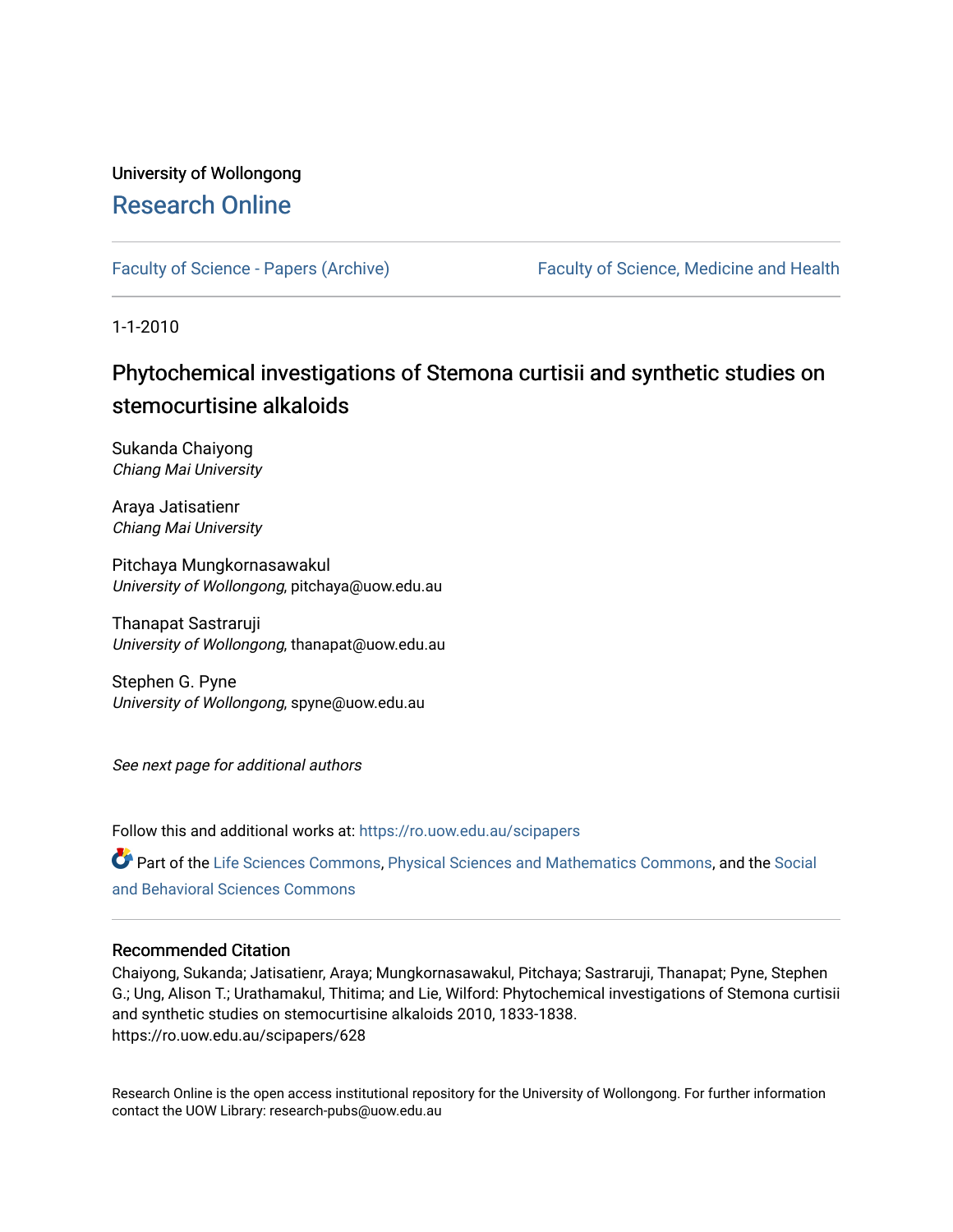# University of Wollongong [Research Online](https://ro.uow.edu.au/)

[Faculty of Science - Papers \(Archive\)](https://ro.uow.edu.au/scipapers) Faculty of Science, Medicine and Health

1-1-2010

# Phytochemical investigations of Stemona curtisii and synthetic studies on stemocurtisine alkaloids

Sukanda Chaiyong Chiang Mai University

Araya Jatisatienr Chiang Mai University

Pitchaya Mungkornasawakul University of Wollongong, pitchaya@uow.edu.au

Thanapat Sastraruji University of Wollongong, thanapat@uow.edu.au

Stephen G. Pyne University of Wollongong, spyne@uow.edu.au

See next page for additional authors

Follow this and additional works at: [https://ro.uow.edu.au/scipapers](https://ro.uow.edu.au/scipapers?utm_source=ro.uow.edu.au%2Fscipapers%2F628&utm_medium=PDF&utm_campaign=PDFCoverPages)

Part of the [Life Sciences Commons,](http://network.bepress.com/hgg/discipline/1016?utm_source=ro.uow.edu.au%2Fscipapers%2F628&utm_medium=PDF&utm_campaign=PDFCoverPages) [Physical Sciences and Mathematics Commons,](http://network.bepress.com/hgg/discipline/114?utm_source=ro.uow.edu.au%2Fscipapers%2F628&utm_medium=PDF&utm_campaign=PDFCoverPages) and the Social [and Behavioral Sciences Commons](http://network.bepress.com/hgg/discipline/316?utm_source=ro.uow.edu.au%2Fscipapers%2F628&utm_medium=PDF&utm_campaign=PDFCoverPages) 

# Recommended Citation

Chaiyong, Sukanda; Jatisatienr, Araya; Mungkornasawakul, Pitchaya; Sastraruji, Thanapat; Pyne, Stephen G.; Ung, Alison T.; Urathamakul, Thitima; and Lie, Wilford: Phytochemical investigations of Stemona curtisii and synthetic studies on stemocurtisine alkaloids 2010, 1833-1838. https://ro.uow.edu.au/scipapers/628

Research Online is the open access institutional repository for the University of Wollongong. For further information contact the UOW Library: research-pubs@uow.edu.au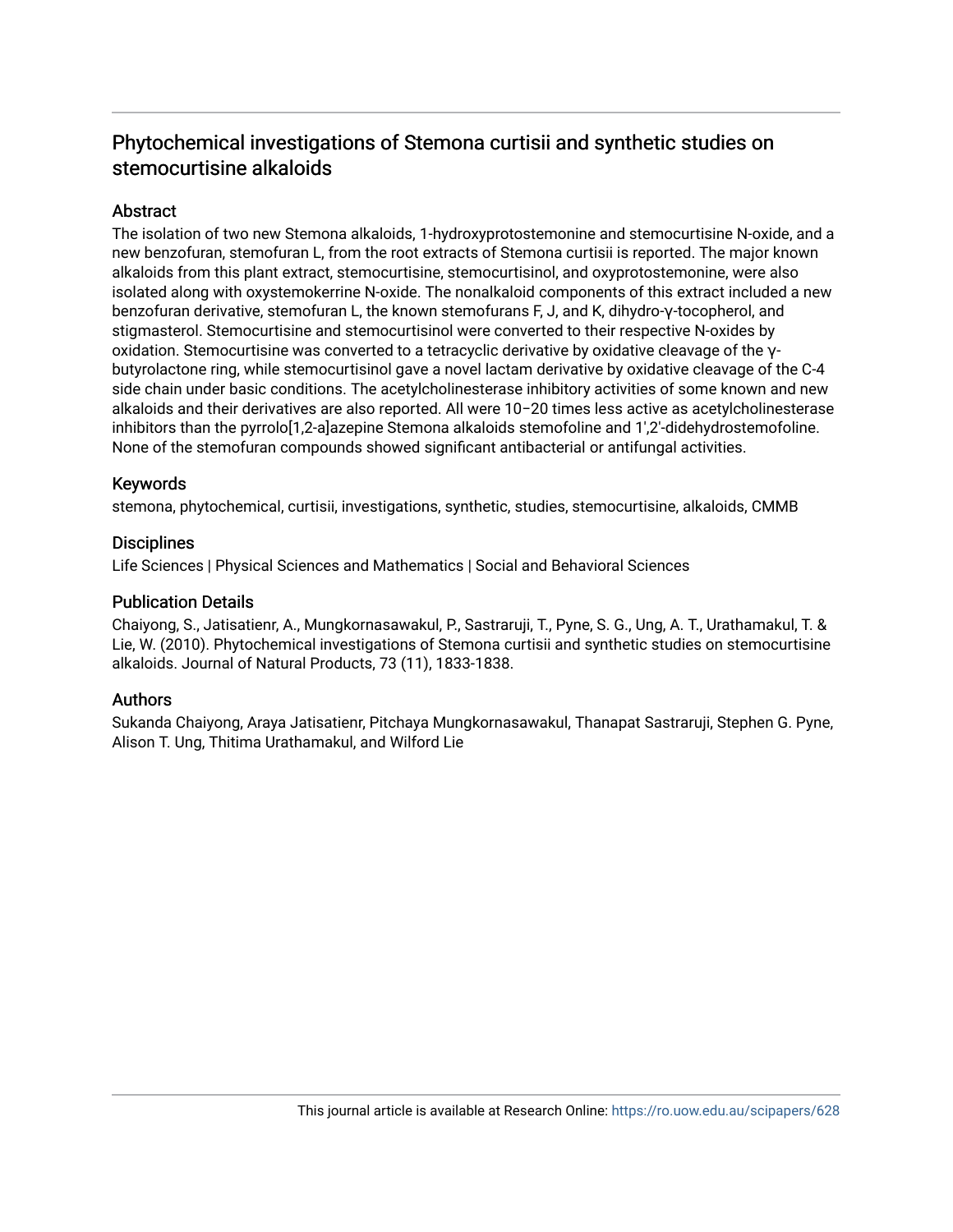# Phytochemical investigations of Stemona curtisii and synthetic studies on stemocurtisine alkaloids

# Abstract

The isolation of two new Stemona alkaloids, 1-hydroxyprotostemonine and stemocurtisine N-oxide, and a new benzofuran, stemofuran L, from the root extracts of Stemona curtisii is reported. The major known alkaloids from this plant extract, stemocurtisine, stemocurtisinol, and oxyprotostemonine, were also isolated along with oxystemokerrine N-oxide. The nonalkaloid components of this extract included a new benzofuran derivative, stemofuran L, the known stemofurans F, J, and K, dihydro-γ-tocopherol, and stigmasterol. Stemocurtisine and stemocurtisinol were converted to their respective N-oxides by oxidation. Stemocurtisine was converted to a tetracyclic derivative by oxidative cleavage of the γbutyrolactone ring, while stemocurtisinol gave a novel lactam derivative by oxidative cleavage of the C-4 side chain under basic conditions. The acetylcholinesterase inhibitory activities of some known and new alkaloids and their derivatives are also reported. All were 10−20 times less active as acetylcholinesterase inhibitors than the pyrrolo[1,2-a]azepine Stemona alkaloids stemofoline and 1′,2′-didehydrostemofoline. None of the stemofuran compounds showed significant antibacterial or antifungal activities.

# Keywords

stemona, phytochemical, curtisii, investigations, synthetic, studies, stemocurtisine, alkaloids, CMMB

### **Disciplines**

Life Sciences | Physical Sciences and Mathematics | Social and Behavioral Sciences

### Publication Details

Chaiyong, S., Jatisatienr, A., Mungkornasawakul, P., Sastraruji, T., Pyne, S. G., Ung, A. T., Urathamakul, T. & Lie, W. (2010). Phytochemical investigations of Stemona curtisii and synthetic studies on stemocurtisine alkaloids. Journal of Natural Products, 73 (11), 1833-1838.

# Authors

Sukanda Chaiyong, Araya Jatisatienr, Pitchaya Mungkornasawakul, Thanapat Sastraruji, Stephen G. Pyne, Alison T. Ung, Thitima Urathamakul, and Wilford Lie